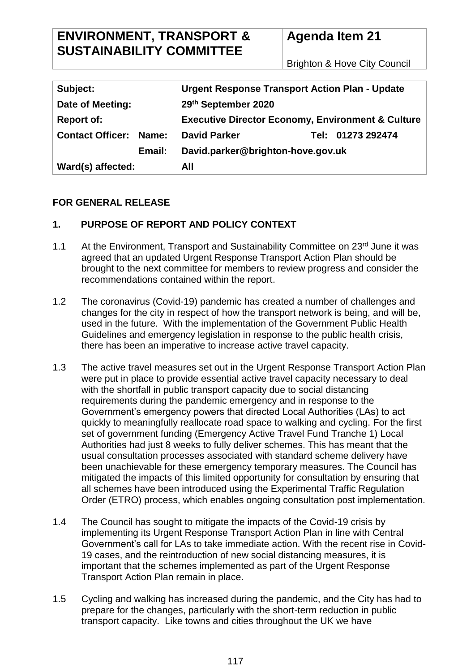# **ENVIRONMENT, TRANSPORT & SUSTAINABILITY COMMITTEE**

# **Agenda Item 21**

Brighton & Hove City Council

| Subject:                         | <b>Urgent Response Transport Action Plan - Update</b>        |                   |
|----------------------------------|--------------------------------------------------------------|-------------------|
| Date of Meeting:                 | 29th September 2020                                          |                   |
| <b>Report of:</b>                | <b>Executive Director Economy, Environment &amp; Culture</b> |                   |
| <b>Contact Officer:</b><br>Name: | <b>David Parker</b>                                          | Tel: 01273 292474 |
| Email:                           | David.parker@brighton-hove.gov.uk                            |                   |
| Ward(s) affected:                | All                                                          |                   |

# **FOR GENERAL RELEASE**

# **1. PURPOSE OF REPORT AND POLICY CONTEXT**

- 1.1 At the Environment, Transport and Sustainability Committee on 23<sup>rd</sup> June it was agreed that an updated Urgent Response Transport Action Plan should be brought to the next committee for members to review progress and consider the recommendations contained within the report.
- 1.2 The coronavirus (Covid-19) pandemic has created a number of challenges and changes for the city in respect of how the transport network is being, and will be, used in the future. With the implementation of the Government Public Health Guidelines and emergency legislation in response to the public health crisis, there has been an imperative to increase active travel capacity.
- 1.3 The active travel measures set out in the Urgent Response Transport Action Plan were put in place to provide essential active travel capacity necessary to deal with the shortfall in public transport capacity due to social distancing requirements during the pandemic emergency and in response to the Government's emergency powers that directed Local Authorities (LAs) to act quickly to meaningfully reallocate road space to walking and cycling. For the first set of government funding (Emergency Active Travel Fund Tranche 1) Local Authorities had just 8 weeks to fully deliver schemes. This has meant that the usual consultation processes associated with standard scheme delivery have been unachievable for these emergency temporary measures. The Council has mitigated the impacts of this limited opportunity for consultation by ensuring that all schemes have been introduced using the Experimental Traffic Regulation Order (ETRO) process, which enables ongoing consultation post implementation.
- 1.4 The Council has sought to mitigate the impacts of the Covid-19 crisis by implementing its Urgent Response Transport Action Plan in line with Central Government's call for LAs to take immediate action. With the recent rise in Covid-19 cases, and the reintroduction of new social distancing measures, it is important that the schemes implemented as part of the Urgent Response Transport Action Plan remain in place.
- 1.5 Cycling and walking has increased during the pandemic, and the City has had to prepare for the changes, particularly with the short-term reduction in public transport capacity. Like towns and cities throughout the UK we have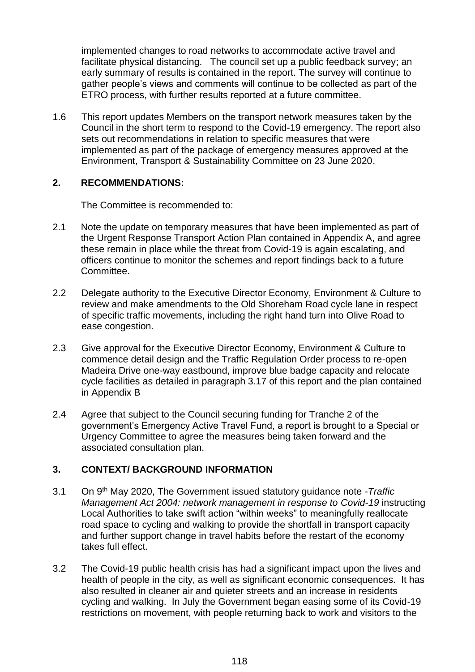implemented changes to road networks to accommodate active travel and facilitate physical distancing. The council set up a public feedback survey; an early summary of results is contained in the report. The survey will continue to gather people's views and comments will continue to be collected as part of the ETRO process, with further results reported at a future committee.

1.6 This report updates Members on the transport network measures taken by the Council in the short term to respond to the Covid-19 emergency. The report also sets out recommendations in relation to specific measures that were implemented as part of the package of emergency measures approved at the Environment, Transport & Sustainability Committee on 23 June 2020.

## **2. RECOMMENDATIONS:**

The Committee is recommended to:

- 2.1 Note the update on temporary measures that have been implemented as part of the Urgent Response Transport Action Plan contained in Appendix A, and agree these remain in place while the threat from Covid-19 is again escalating, and officers continue to monitor the schemes and report findings back to a future Committee.
- 2.2 Delegate authority to the Executive Director Economy, Environment & Culture to review and make amendments to the Old Shoreham Road cycle lane in respect of specific traffic movements, including the right hand turn into Olive Road to ease congestion.
- 2.3 Give approval for the Executive Director Economy, Environment & Culture to commence detail design and the Traffic Regulation Order process to re-open Madeira Drive one-way eastbound, improve blue badge capacity and relocate cycle facilities as detailed in paragraph 3.17 of this report and the plan contained in Appendix B
- 2.4 Agree that subject to the Council securing funding for Tranche 2 of the government's Emergency Active Travel Fund, a report is brought to a Special or Urgency Committee to agree the measures being taken forward and the associated consultation plan.

# **3. CONTEXT/ BACKGROUND INFORMATION**

- 3.1 On 9th May 2020, The Government issued statutory guidance note -*Traffic Management Act 2004: network management in response to Covid-19* instructing Local Authorities to take swift action "within weeks" to meaningfully reallocate road space to cycling and walking to provide the shortfall in transport capacity and further support change in travel habits before the restart of the economy takes full effect.
- 3.2 The Covid-19 public health crisis has had a significant impact upon the lives and health of people in the city, as well as significant economic consequences. It has also resulted in cleaner air and quieter streets and an increase in residents cycling and walking. In July the Government began easing some of its Covid-19 restrictions on movement, with people returning back to work and visitors to the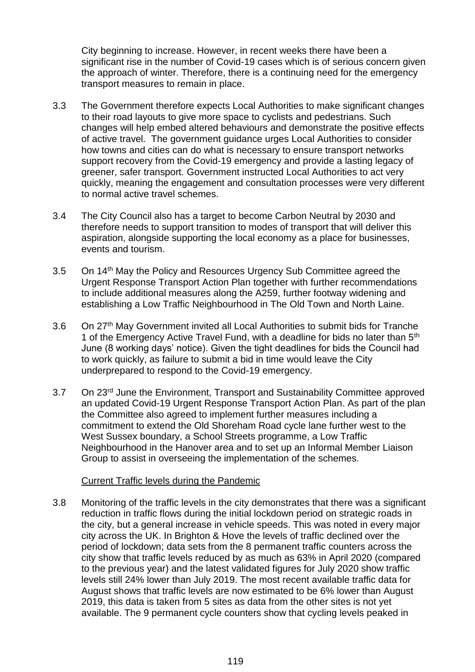City beginning to increase. However, in recent weeks there have been a significant rise in the number of Covid-19 cases which is of serious concern given the approach of winter. Therefore, there is a continuing need for the emergency transport measures to remain in place.

- 3.3 The Government therefore expects Local Authorities to make significant changes to their road layouts to give more space to cyclists and pedestrians. Such changes will help embed altered behaviours and demonstrate the positive effects of active travel. The government guidance urges Local Authorities to consider how towns and cities can do what is necessary to ensure transport networks support recovery from the Covid-19 emergency and provide a lasting legacy of greener, safer transport. Government instructed Local Authorities to act very quickly, meaning the engagement and consultation processes were very different to normal active travel schemes.
- 3.4 The City Council also has a target to become Carbon Neutral by 2030 and therefore needs to support transition to modes of transport that will deliver this aspiration, alongside supporting the local economy as a place for businesses, events and tourism.
- 3.5 On 14<sup>th</sup> May the Policy and Resources Urgency Sub Committee agreed the Urgent Response Transport Action Plan together with further recommendations to include additional measures along the A259, further footway widening and establishing a Low Traffic Neighbourhood in The Old Town and North Laine.
- 3.6 On 27<sup>th</sup> May Government invited all Local Authorities to submit bids for Tranche 1 of the Emergency Active Travel Fund, with a deadline for bids no later than 5<sup>th</sup> June (8 working days' notice). Given the tight deadlines for bids the Council had to work quickly, as failure to submit a bid in time would leave the City underprepared to respond to the Covid-19 emergency.
- 3.7 On 23<sup>rd</sup> June the Environment, Transport and Sustainability Committee approved an updated Covid-19 Urgent Response Transport Action Plan. As part of the plan the Committee also agreed to implement further measures including a commitment to extend the Old Shoreham Road cycle lane further west to the West Sussex boundary, a School Streets programme, a Low Traffic Neighbourhood in the Hanover area and to set up an Informal Member Liaison Group to assist in overseeing the implementation of the schemes.

#### Current Traffic levels during the Pandemic

3.8 Monitoring of the traffic levels in the city demonstrates that there was a significant reduction in traffic flows during the initial lockdown period on strategic roads in the city, but a general increase in vehicle speeds. This was noted in every major city across the UK. In Brighton & Hove the levels of traffic declined over the period of lockdown; data sets from the 8 permanent traffic counters across the city show that traffic levels reduced by as much as 63% in April 2020 (compared to the previous year) and the latest validated figures for July 2020 show traffic levels still 24% lower than July 2019. The most recent available traffic data for August shows that traffic levels are now estimated to be 6% lower than August 2019, this data is taken from 5 sites as data from the other sites is not yet available. The 9 permanent cycle counters show that cycling levels peaked in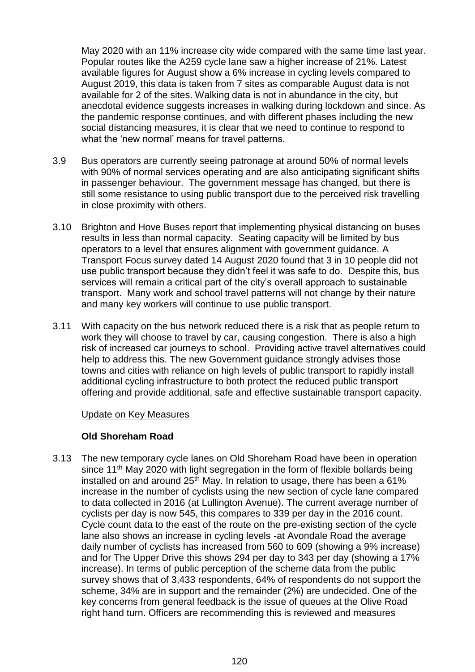May 2020 with an 11% increase city wide compared with the same time last year. Popular routes like the A259 cycle lane saw a higher increase of 21%. Latest available figures for August show a 6% increase in cycling levels compared to August 2019, this data is taken from 7 sites as comparable August data is not available for 2 of the sites. Walking data is not in abundance in the city, but anecdotal evidence suggests increases in walking during lockdown and since. As the pandemic response continues, and with different phases including the new social distancing measures, it is clear that we need to continue to respond to what the 'new normal' means for travel patterns.

- 3.9 Bus operators are currently seeing patronage at around 50% of normal levels with 90% of normal services operating and are also anticipating significant shifts in passenger behaviour. The government message has changed, but there is still some resistance to using public transport due to the perceived risk travelling in close proximity with others.
- 3.10 Brighton and Hove Buses report that implementing physical distancing on buses results in less than normal capacity. Seating capacity will be limited by bus operators to a level that ensures alignment with government guidance. A Transport Focus survey dated 14 August 2020 found that 3 in 10 people did not use public transport because they didn't feel it was safe to do. Despite this, bus services will remain a critical part of the city's overall approach to sustainable transport. Many work and school travel patterns will not change by their nature and many key workers will continue to use public transport.
- 3.11 With capacity on the bus network reduced there is a risk that as people return to work they will choose to travel by car, causing congestion. There is also a high risk of increased car journeys to school. Providing active travel alternatives could help to address this. The new Government guidance strongly advises those towns and cities with reliance on high levels of public transport to rapidly install additional cycling infrastructure to both protect the reduced public transport offering and provide additional, safe and effective sustainable transport capacity.

#### Update on Key Measures

#### **Old Shoreham Road**

3.13 The new temporary cycle lanes on Old Shoreham Road have been in operation since  $11<sup>th</sup>$  May 2020 with light segregation in the form of flexible bollards being installed on and around  $25<sup>th</sup>$  May. In relation to usage, there has been a 61% increase in the number of cyclists using the new section of cycle lane compared to data collected in 2016 (at Lullington Avenue). The current average number of cyclists per day is now 545, this compares to 339 per day in the 2016 count. Cycle count data to the east of the route on the pre-existing section of the cycle lane also shows an increase in cycling levels -at Avondale Road the average daily number of cyclists has increased from 560 to 609 (showing a 9% increase) and for The Upper Drive this shows 294 per day to 343 per day (showing a 17% increase). In terms of public perception of the scheme data from the public survey shows that of 3,433 respondents, 64% of respondents do not support the scheme, 34% are in support and the remainder (2%) are undecided. One of the key concerns from general feedback is the issue of queues at the Olive Road right hand turn. Officers are recommending this is reviewed and measures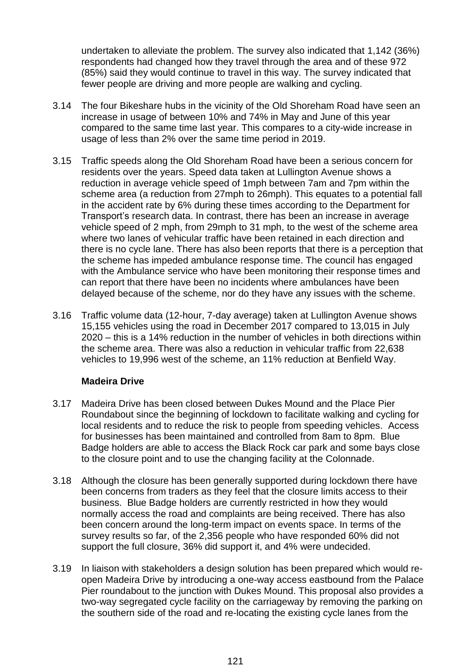undertaken to alleviate the problem. The survey also indicated that 1,142 (36%) respondents had changed how they travel through the area and of these 972 (85%) said they would continue to travel in this way. The survey indicated that fewer people are driving and more people are walking and cycling.

- 3.14 The four Bikeshare hubs in the vicinity of the Old Shoreham Road have seen an increase in usage of between 10% and 74% in May and June of this year compared to the same time last year. This compares to a city-wide increase in usage of less than 2% over the same time period in 2019.
- 3.15 Traffic speeds along the Old Shoreham Road have been a serious concern for residents over the years. Speed data taken at Lullington Avenue shows a reduction in average vehicle speed of 1mph between 7am and 7pm within the scheme area (a reduction from 27mph to 26mph). This equates to a potential fall in the accident rate by 6% during these times according to the Department for Transport's research data. In contrast, there has been an increase in average vehicle speed of 2 mph, from 29mph to 31 mph, to the west of the scheme area where two lanes of vehicular traffic have been retained in each direction and there is no cycle lane. There has also been reports that there is a perception that the scheme has impeded ambulance response time. The council has engaged with the Ambulance service who have been monitoring their response times and can report that there have been no incidents where ambulances have been delayed because of the scheme, nor do they have any issues with the scheme.
- 3.16 Traffic volume data (12-hour, 7-day average) taken at Lullington Avenue shows 15,155 vehicles using the road in December 2017 compared to 13,015 in July 2020 – this is a 14% reduction in the number of vehicles in both directions within the scheme area. There was also a reduction in vehicular traffic from 22,638 vehicles to 19,996 west of the scheme, an 11% reduction at Benfield Way.

# **Madeira Drive**

- 3.17 Madeira Drive has been closed between Dukes Mound and the Place Pier Roundabout since the beginning of lockdown to facilitate walking and cycling for local residents and to reduce the risk to people from speeding vehicles. Access for businesses has been maintained and controlled from 8am to 8pm. Blue Badge holders are able to access the Black Rock car park and some bays close to the closure point and to use the changing facility at the Colonnade.
- 3.18 Although the closure has been generally supported during lockdown there have been concerns from traders as they feel that the closure limits access to their business. Blue Badge holders are currently restricted in how they would normally access the road and complaints are being received. There has also been concern around the long-term impact on events space. In terms of the survey results so far, of the 2,356 people who have responded 60% did not support the full closure, 36% did support it, and 4% were undecided.
- 3.19 In liaison with stakeholders a design solution has been prepared which would reopen Madeira Drive by introducing a one-way access eastbound from the Palace Pier roundabout to the junction with Dukes Mound. This proposal also provides a two-way segregated cycle facility on the carriageway by removing the parking on the southern side of the road and re-locating the existing cycle lanes from the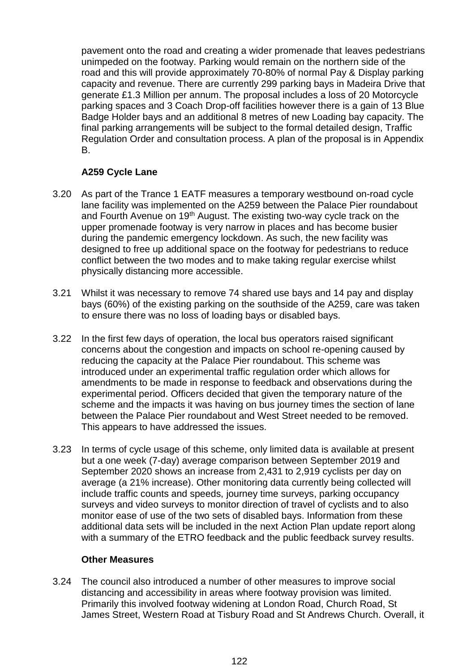pavement onto the road and creating a wider promenade that leaves pedestrians unimpeded on the footway. Parking would remain on the northern side of the road and this will provide approximately 70-80% of normal Pay & Display parking capacity and revenue. There are currently 299 parking bays in Madeira Drive that generate £1.3 Million per annum. The proposal includes a loss of 20 Motorcycle parking spaces and 3 Coach Drop-off facilities however there is a gain of 13 Blue Badge Holder bays and an additional 8 metres of new Loading bay capacity. The final parking arrangements will be subject to the formal detailed design, Traffic Regulation Order and consultation process. A plan of the proposal is in Appendix B.

## **A259 Cycle Lane**

- 3.20 As part of the Trance 1 EATF measures a temporary westbound on-road cycle lane facility was implemented on the A259 between the Palace Pier roundabout and Fourth Avenue on 19<sup>th</sup> August. The existing two-way cycle track on the upper promenade footway is very narrow in places and has become busier during the pandemic emergency lockdown. As such, the new facility was designed to free up additional space on the footway for pedestrians to reduce conflict between the two modes and to make taking regular exercise whilst physically distancing more accessible.
- 3.21 Whilst it was necessary to remove 74 shared use bays and 14 pay and display bays (60%) of the existing parking on the southside of the A259, care was taken to ensure there was no loss of loading bays or disabled bays.
- 3.22 In the first few days of operation, the local bus operators raised significant concerns about the congestion and impacts on school re-opening caused by reducing the capacity at the Palace Pier roundabout. This scheme was introduced under an experimental traffic regulation order which allows for amendments to be made in response to feedback and observations during the experimental period. Officers decided that given the temporary nature of the scheme and the impacts it was having on bus journey times the section of lane between the Palace Pier roundabout and West Street needed to be removed. This appears to have addressed the issues.
- 3.23 In terms of cycle usage of this scheme, only limited data is available at present but a one week (7-day) average comparison between September 2019 and September 2020 shows an increase from 2,431 to 2,919 cyclists per day on average (a 21% increase). Other monitoring data currently being collected will include traffic counts and speeds, journey time surveys, parking occupancy surveys and video surveys to monitor direction of travel of cyclists and to also monitor ease of use of the two sets of disabled bays. Information from these additional data sets will be included in the next Action Plan update report along with a summary of the ETRO feedback and the public feedback survey results.

#### **Other Measures**

3.24 The council also introduced a number of other measures to improve social distancing and accessibility in areas where footway provision was limited. Primarily this involved footway widening at London Road, Church Road, St James Street, Western Road at Tisbury Road and St Andrews Church. Overall, it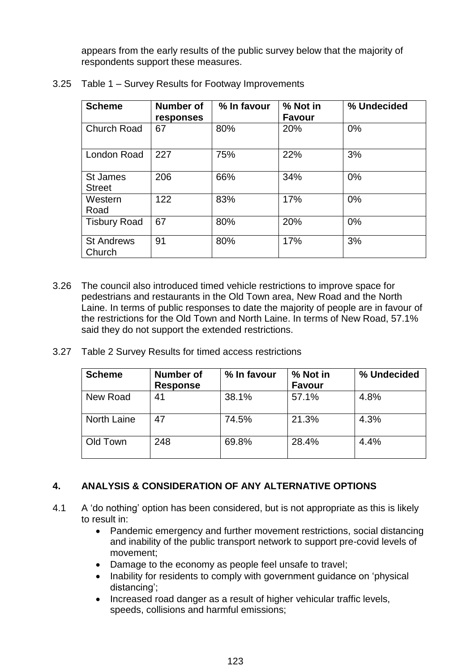appears from the early results of the public survey below that the majority of respondents support these measures.

| <b>Scheme</b>                    | <b>Number of</b><br>responses | % In favour | % Not in<br><b>Favour</b> | % Undecided |
|----------------------------------|-------------------------------|-------------|---------------------------|-------------|
| <b>Church Road</b>               | 67                            | 80%         | 20%                       | $0\%$       |
| London Road                      | 227                           | 75%         | 22%                       | 3%          |
| <b>St James</b><br><b>Street</b> | 206                           | 66%         | 34%                       | $0\%$       |
| Western<br>Road                  | 122                           | 83%         | 17%                       | $0\%$       |
| <b>Tisbury Road</b>              | 67                            | 80%         | 20%                       | 0%          |
| <b>St Andrews</b><br>Church      | 91                            | 80%         | 17%                       | 3%          |

3.25 Table 1 – Survey Results for Footway Improvements

- 3.26 The council also introduced timed vehicle restrictions to improve space for pedestrians and restaurants in the Old Town area, New Road and the North Laine. In terms of public responses to date the majority of people are in favour of the restrictions for the Old Town and North Laine. In terms of New Road, 57.1% said they do not support the extended restrictions.
- 3.27 Table 2 Survey Results for timed access restrictions

| <b>Scheme</b> | Number of<br><b>Response</b> | % In favour | % Not in<br><b>Favour</b> | % Undecided |
|---------------|------------------------------|-------------|---------------------------|-------------|
| New Road      | 41                           | 38.1%       | 57.1%                     | 4.8%        |
| North Laine   | 47                           | 74.5%       | 21.3%                     | 4.3%        |
| Old Town      | 248                          | 69.8%       | 28.4%                     | 4.4%        |

# **4. ANALYSIS & CONSIDERATION OF ANY ALTERNATIVE OPTIONS**

- 4.1 A 'do nothing' option has been considered, but is not appropriate as this is likely to result in:
	- Pandemic emergency and further movement restrictions, social distancing and inability of the public transport network to support pre-covid levels of movement;
	- Damage to the economy as people feel unsafe to travel;
	- Inability for residents to comply with government guidance on 'physical distancing';
	- Increased road danger as a result of higher vehicular traffic levels, speeds, collisions and harmful emissions;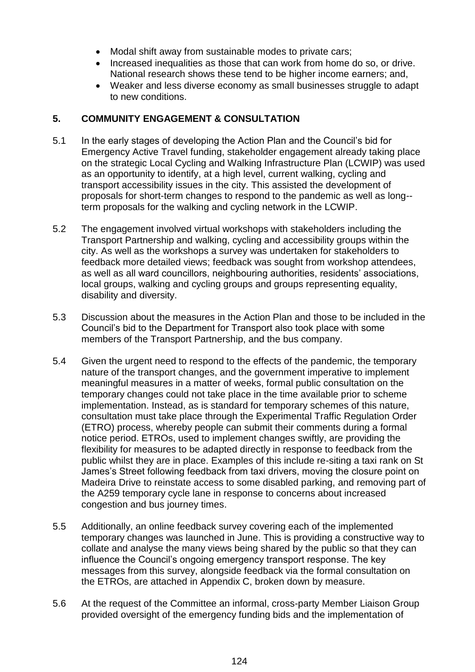- Modal shift away from sustainable modes to private cars:
- Increased inequalities as those that can work from home do so, or drive. National research shows these tend to be higher income earners; and,
- Weaker and less diverse economy as small businesses struggle to adapt to new conditions.

## **5. COMMUNITY ENGAGEMENT & CONSULTATION**

- 5.1 In the early stages of developing the Action Plan and the Council's bid for Emergency Active Travel funding, stakeholder engagement already taking place on the strategic Local Cycling and Walking Infrastructure Plan (LCWIP) was used as an opportunity to identify, at a high level, current walking, cycling and transport accessibility issues in the city. This assisted the development of proposals for short-term changes to respond to the pandemic as well as long- term proposals for the walking and cycling network in the LCWIP.
- 5.2 The engagement involved virtual workshops with stakeholders including the Transport Partnership and walking, cycling and accessibility groups within the city. As well as the workshops a survey was undertaken for stakeholders to feedback more detailed views; feedback was sought from workshop attendees, as well as all ward councillors, neighbouring authorities, residents' associations, local groups, walking and cycling groups and groups representing equality, disability and diversity.
- 5.3 Discussion about the measures in the Action Plan and those to be included in the Council's bid to the Department for Transport also took place with some members of the Transport Partnership, and the bus company.
- 5.4 Given the urgent need to respond to the effects of the pandemic, the temporary nature of the transport changes, and the government imperative to implement meaningful measures in a matter of weeks, formal public consultation on the temporary changes could not take place in the time available prior to scheme implementation. Instead, as is standard for temporary schemes of this nature, consultation must take place through the Experimental Traffic Regulation Order (ETRO) process, whereby people can submit their comments during a formal notice period. ETROs, used to implement changes swiftly, are providing the flexibility for measures to be adapted directly in response to feedback from the public whilst they are in place. Examples of this include re-siting a taxi rank on St James's Street following feedback from taxi drivers, moving the closure point on Madeira Drive to reinstate access to some disabled parking, and removing part of the A259 temporary cycle lane in response to concerns about increased congestion and bus journey times.
- 5.5 Additionally, an online feedback survey covering each of the implemented temporary changes was launched in June. This is providing a constructive way to collate and analyse the many views being shared by the public so that they can influence the Council's ongoing emergency transport response. The key messages from this survey, alongside feedback via the formal consultation on the ETROs, are attached in Appendix C, broken down by measure.
- 5.6 At the request of the Committee an informal, cross-party Member Liaison Group provided oversight of the emergency funding bids and the implementation of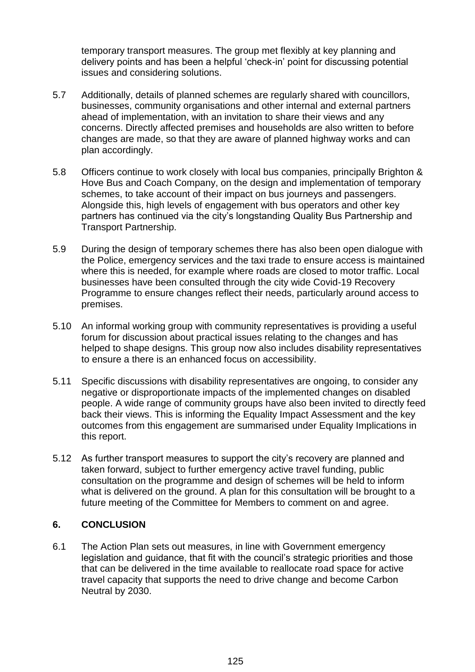temporary transport measures. The group met flexibly at key planning and delivery points and has been a helpful 'check-in' point for discussing potential issues and considering solutions.

- 5.7 Additionally, details of planned schemes are regularly shared with councillors, businesses, community organisations and other internal and external partners ahead of implementation, with an invitation to share their views and any concerns. Directly affected premises and households are also written to before changes are made, so that they are aware of planned highway works and can plan accordingly.
- 5.8 Officers continue to work closely with local bus companies, principally Brighton & Hove Bus and Coach Company, on the design and implementation of temporary schemes, to take account of their impact on bus journeys and passengers. Alongside this, high levels of engagement with bus operators and other key partners has continued via the city's longstanding Quality Bus Partnership and Transport Partnership.
- 5.9 During the design of temporary schemes there has also been open dialogue with the Police, emergency services and the taxi trade to ensure access is maintained where this is needed, for example where roads are closed to motor traffic. Local businesses have been consulted through the city wide Covid-19 Recovery Programme to ensure changes reflect their needs, particularly around access to premises.
- 5.10 An informal working group with community representatives is providing a useful forum for discussion about practical issues relating to the changes and has helped to shape designs. This group now also includes disability representatives to ensure a there is an enhanced focus on accessibility.
- 5.11 Specific discussions with disability representatives are ongoing, to consider any negative or disproportionate impacts of the implemented changes on disabled people. A wide range of community groups have also been invited to directly feed back their views. This is informing the Equality Impact Assessment and the key outcomes from this engagement are summarised under Equality Implications in this report.
- 5.12 As further transport measures to support the city's recovery are planned and taken forward, subject to further emergency active travel funding, public consultation on the programme and design of schemes will be held to inform what is delivered on the ground. A plan for this consultation will be brought to a future meeting of the Committee for Members to comment on and agree.

# **6. CONCLUSION**

6.1 The Action Plan sets out measures, in line with Government emergency legislation and guidance, that fit with the council's strategic priorities and those that can be delivered in the time available to reallocate road space for active travel capacity that supports the need to drive change and become Carbon Neutral by 2030.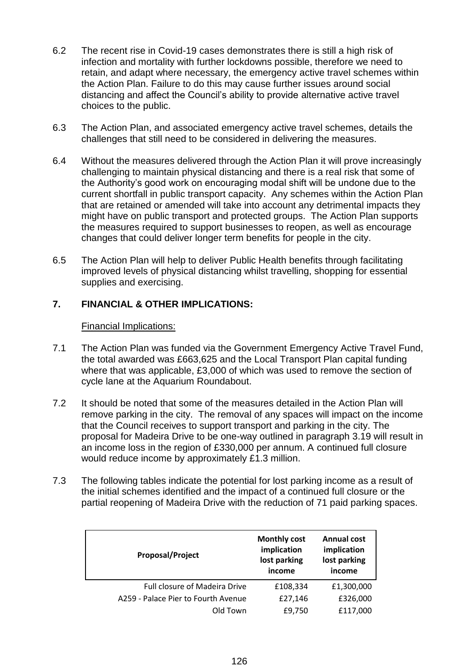- 6.2 The recent rise in Covid-19 cases demonstrates there is still a high risk of infection and mortality with further lockdowns possible, therefore we need to retain, and adapt where necessary, the emergency active travel schemes within the Action Plan. Failure to do this may cause further issues around social distancing and affect the Council's ability to provide alternative active travel choices to the public.
- 6.3 The Action Plan, and associated emergency active travel schemes, details the challenges that still need to be considered in delivering the measures.
- 6.4 Without the measures delivered through the Action Plan it will prove increasingly challenging to maintain physical distancing and there is a real risk that some of the Authority's good work on encouraging modal shift will be undone due to the current shortfall in public transport capacity. Any schemes within the Action Plan that are retained or amended will take into account any detrimental impacts they might have on public transport and protected groups. The Action Plan supports the measures required to support businesses to reopen, as well as encourage changes that could deliver longer term benefits for people in the city.
- 6.5 The Action Plan will help to deliver Public Health benefits through facilitating improved levels of physical distancing whilst travelling, shopping for essential supplies and exercising.

# **7. FINANCIAL & OTHER IMPLICATIONS:**

## Financial Implications:

- 7.1 The Action Plan was funded via the Government Emergency Active Travel Fund, the total awarded was £663,625 and the Local Transport Plan capital funding where that was applicable, £3,000 of which was used to remove the section of cycle lane at the Aquarium Roundabout.
- 7.2 It should be noted that some of the measures detailed in the Action Plan will remove parking in the city. The removal of any spaces will impact on the income that the Council receives to support transport and parking in the city. The proposal for Madeira Drive to be one-way outlined in paragraph 3.19 will result in an income loss in the region of £330,000 per annum. A continued full closure would reduce income by approximately £1.3 million.
- 7.3 The following tables indicate the potential for lost parking income as a result of the initial schemes identified and the impact of a continued full closure or the partial reopening of Madeira Drive with the reduction of 71 paid parking spaces.

| <b>Proposal/Project</b>              | <b>Monthly cost</b><br>implication<br>lost parking<br>income | <b>Annual cost</b><br>implication<br>lost parking<br>income |
|--------------------------------------|--------------------------------------------------------------|-------------------------------------------------------------|
| <b>Full closure of Madeira Drive</b> | £108,334                                                     | £1,300,000                                                  |
| A259 - Palace Pier to Fourth Avenue  | £27,146                                                      | £326,000                                                    |
| Old Town                             | £9,750                                                       | £117,000                                                    |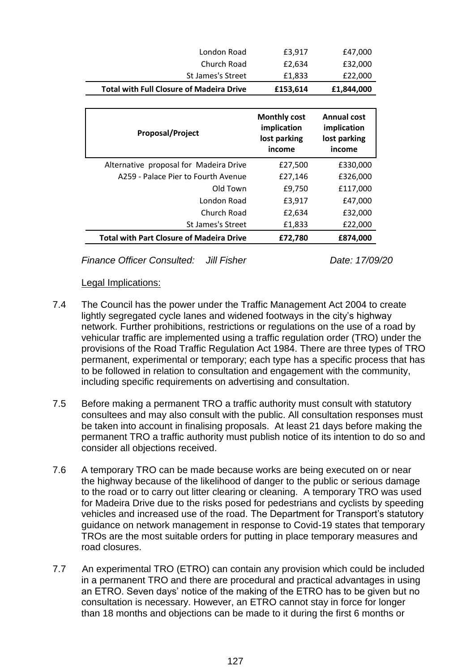| London Road                                     | £3,917                                                       | £47,000                                                     |
|-------------------------------------------------|--------------------------------------------------------------|-------------------------------------------------------------|
| Church Road                                     | £2,634                                                       | £32,000                                                     |
| <b>St James's Street</b>                        | £1,833                                                       | £22,000                                                     |
| <b>Total with Full Closure of Madeira Drive</b> | £153,614                                                     | £1,844,000                                                  |
|                                                 |                                                              |                                                             |
| <b>Proposal/Project</b>                         | <b>Monthly cost</b><br>implication<br>lost parking<br>income | <b>Annual cost</b><br>implication<br>lost parking<br>income |
| Alternative proposal for Madeira Drive          | £27,500                                                      | £330,000                                                    |
| A259 - Palace Pier to Fourth Avenue             | £27,146                                                      | £326,000                                                    |
| Old Town                                        | £9,750                                                       | £117,000                                                    |
| London Road                                     | £3,917                                                       | £47,000                                                     |
| Church Road                                     | £2,634                                                       | £32,000                                                     |
| <b>St James's Street</b>                        | £1,833                                                       | £22,000                                                     |
|                                                 |                                                              |                                                             |

*Finance Officer Consulted: Jill Fisher Date: 17/09/20*

#### Legal Implications:

- 7.4 The Council has the power under the Traffic Management Act 2004 to create lightly segregated cycle lanes and widened footways in the city's highway network. Further prohibitions, restrictions or regulations on the use of a road by vehicular traffic are implemented using a traffic regulation order (TRO) under the provisions of the Road Traffic Regulation Act 1984. There are three types of TRO permanent, experimental or temporary; each type has a specific process that has to be followed in relation to consultation and engagement with the community, including specific requirements on advertising and consultation.
- 7.5 Before making a permanent TRO a traffic authority must consult with statutory consultees and may also consult with the public. All consultation responses must be taken into account in finalising proposals. At least 21 days before making the permanent TRO a traffic authority must publish notice of its intention to do so and consider all objections received.
- 7.6 A temporary TRO can be made because works are being executed on or near the highway because of the likelihood of danger to the public or serious damage to the road or to carry out litter clearing or cleaning. A temporary TRO was used for Madeira Drive due to the risks posed for pedestrians and cyclists by speeding vehicles and increased use of the road. The Department for Transport's statutory guidance on network management in response to Covid-19 states that temporary TROs are the most suitable orders for putting in place temporary measures and road closures.
- 7.7 An experimental TRO (ETRO) can contain any provision which could be included in a permanent TRO and there are procedural and practical advantages in using an ETRO. Seven days' notice of the making of the ETRO has to be given but no consultation is necessary. However, an ETRO cannot stay in force for longer than 18 months and objections can be made to it during the first 6 months or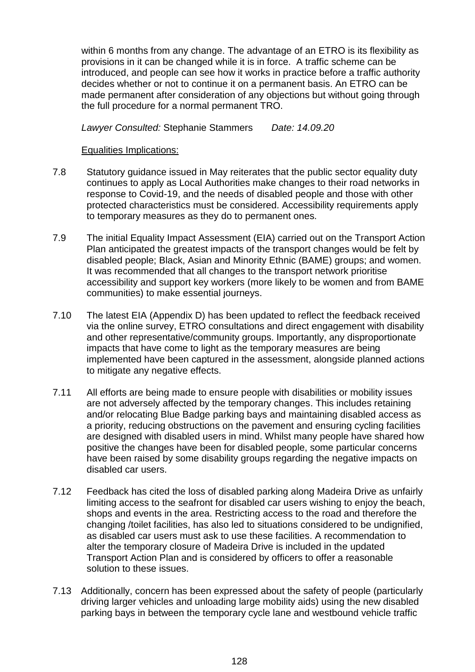within 6 months from any change. The advantage of an ETRO is its flexibility as provisions in it can be changed while it is in force. A traffic scheme can be introduced, and people can see how it works in practice before a traffic authority decides whether or not to continue it on a permanent basis. An ETRO can be made permanent after consideration of any objections but without going through the full procedure for a normal permanent TRO.

*Lawyer Consulted:* Stephanie Stammers *Date: 14.09.20*

#### Equalities Implications:

- 7.8 Statutory guidance issued in May reiterates that the public sector equality duty continues to apply as Local Authorities make changes to their road networks in response to Covid-19, and the needs of disabled people and those with other protected characteristics must be considered. Accessibility requirements apply to temporary measures as they do to permanent ones.
- 7.9 The initial Equality Impact Assessment (EIA) carried out on the Transport Action Plan anticipated the greatest impacts of the transport changes would be felt by disabled people; Black, Asian and Minority Ethnic (BAME) groups; and women. It was recommended that all changes to the transport network prioritise accessibility and support key workers (more likely to be women and from BAME communities) to make essential journeys.
- 7.10 The latest EIA (Appendix D) has been updated to reflect the feedback received via the online survey, ETRO consultations and direct engagement with disability and other representative/community groups. Importantly, any disproportionate impacts that have come to light as the temporary measures are being implemented have been captured in the assessment, alongside planned actions to mitigate any negative effects.
- 7.11 All efforts are being made to ensure people with disabilities or mobility issues are not adversely affected by the temporary changes. This includes retaining and/or relocating Blue Badge parking bays and maintaining disabled access as a priority, reducing obstructions on the pavement and ensuring cycling facilities are designed with disabled users in mind. Whilst many people have shared how positive the changes have been for disabled people, some particular concerns have been raised by some disability groups regarding the negative impacts on disabled car users.
- 7.12 Feedback has cited the loss of disabled parking along Madeira Drive as unfairly limiting access to the seafront for disabled car users wishing to enjoy the beach, shops and events in the area. Restricting access to the road and therefore the changing /toilet facilities, has also led to situations considered to be undignified, as disabled car users must ask to use these facilities. A recommendation to alter the temporary closure of Madeira Drive is included in the updated Transport Action Plan and is considered by officers to offer a reasonable solution to these issues.
- 7.13 Additionally, concern has been expressed about the safety of people (particularly driving larger vehicles and unloading large mobility aids) using the new disabled parking bays in between the temporary cycle lane and westbound vehicle traffic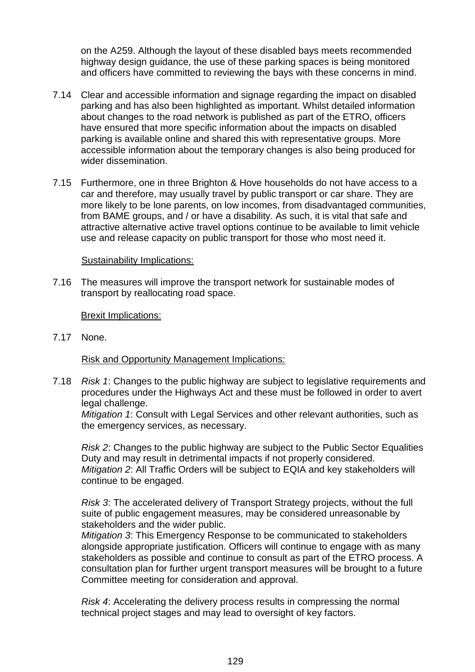on the A259. Although the layout of these disabled bays meets recommended highway design guidance, the use of these parking spaces is being monitored and officers have committed to reviewing the bays with these concerns in mind.

- 7.14 Clear and accessible information and signage regarding the impact on disabled parking and has also been highlighted as important. Whilst detailed information about changes to the road network is published as part of the ETRO, officers have ensured that more specific information about the impacts on disabled parking is available online and shared this with representative groups. More accessible information about the temporary changes is also being produced for wider dissemination.
- 7.15 Furthermore, one in three Brighton & Hove households do not have access to a car and therefore, may usually travel by public transport or car share. They are more likely to be lone parents, on low incomes, from disadvantaged communities, from BAME groups, and / or have a disability. As such, it is vital that safe and attractive alternative active travel options continue to be available to limit vehicle use and release capacity on public transport for those who most need it.

#### Sustainability Implications:

7.16 The measures will improve the transport network for sustainable modes of transport by reallocating road space.

#### Brexit Implications:

7.17 None.

Risk and Opportunity Management Implications:

7.18 *Risk 1*: Changes to the public highway are subject to legislative requirements and procedures under the Highways Act and these must be followed in order to avert legal challenge.

*Mitigation 1*: Consult with Legal Services and other relevant authorities, such as the emergency services, as necessary.

*Risk 2*: Changes to the public highway are subject to the Public Sector Equalities Duty and may result in detrimental impacts if not properly considered. *Mitigation 2*: All Traffic Orders will be subject to EQIA and key stakeholders will continue to be engaged.

*Risk 3*: The accelerated delivery of Transport Strategy projects, without the full suite of public engagement measures, may be considered unreasonable by stakeholders and the wider public.

*Mitigation 3*: This Emergency Response to be communicated to stakeholders alongside appropriate justification. Officers will continue to engage with as many stakeholders as possible and continue to consult as part of the ETRO process. A consultation plan for further urgent transport measures will be brought to a future Committee meeting for consideration and approval.

*Risk 4*: Accelerating the delivery process results in compressing the normal technical project stages and may lead to oversight of key factors.